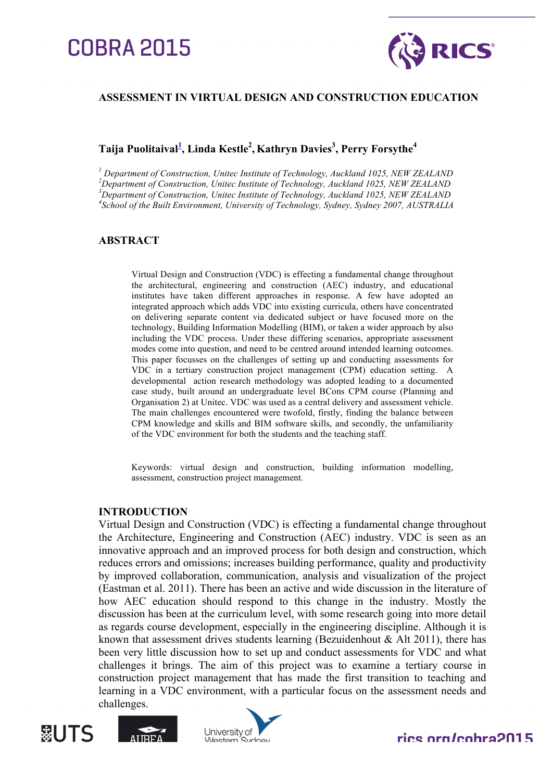# **COBRA 2015**



# **ASSESSMENT IN VIRTUAL DESIGN AND CONSTRUCTION EDUCATION**

# $\boldsymbol{\mathrm{T}}$ aija Puolitaival $^{1\!\!-}\!,$  Linda Kestle $^{2}\!,$  Kathryn Davies $^{3}\!,$  Perry Forsythe $^{4}\!$

*<sup>1</sup> Department of Construction, Unitec Institute of Technology, Auckland 1025, NEW ZEALAND <sup>2</sup> Department of Construction, Unitec Institute of Technology, Auckland 1025, NEW ZEALAND* <sup>3</sup> Department of Construction, Unitec Institute of Technology, Auckland 1025, NEW ZEALAND<br><sup>4</sup>Sehool of the Built Environment University of Technology, Sydney, Sydney, 2007, AUSTRALL *School of the Built Environment, University of Technology, Sydney, Sydney 2007, AUSTRALIA*

# **ABSTRACT**

Virtual Design and Construction (VDC) is effecting a fundamental change throughout the architectural, engineering and construction (AEC) industry, and educational institutes have taken different approaches in response. A few have adopted an integrated approach which adds VDC into existing curricula, others have concentrated on delivering separate content via dedicated subject or have focused more on the technology, Building Information Modelling (BIM), or taken a wider approach by also including the VDC process. Under these differing scenarios, appropriate assessment modes come into question, and need to be centred around intended learning outcomes. This paper focusses on the challenges of setting up and conducting assessments for VDC in a tertiary construction project management (CPM) education setting. A developmental action research methodology was adopted leading to a documented case study, built around an undergraduate level BCons CPM course (Planning and Organisation 2) at Unitec. VDC was used as a central delivery and assessment vehicle. The main challenges encountered were twofold, firstly, finding the balance between CPM knowledge and skills and BIM software skills, and secondly, the unfamiliarity of the VDC environment for both the students and the teaching staff.

Keywords: virtual design and construction, building information modelling, assessment, construction project management.

# **INTRODUCTION**

Virtual Design and Construction (VDC) is effecting a fundamental change throughout the Architecture, Engineering and Construction (AEC) industry. VDC is seen as an innovative approach and an improved process for both design and construction, which reduces errors and omissions; increases building performance, quality and productivity by improved collaboration, communication, analysis and visualization of the project (Eastman et al. 2011). There has been an active and wide discussion in the literature of how AEC education should respond to this change in the industry. Mostly the discussion has been at the curriculum level, with some research going into more detail as regards course development, especially in the engineering discipline. Although it is known that assessment drives students learning (Bezuidenhout  $\&$  Alt 2011), there has been very little discussion how to set up and conduct assessments for VDC and what challenges it brings. The aim of this project was to examine a tertiary course in construction project management that has made the first transition to teaching and learning in a VDC environment, with a particular focus on the assessment needs and challenges.







# rice ara/cahra2015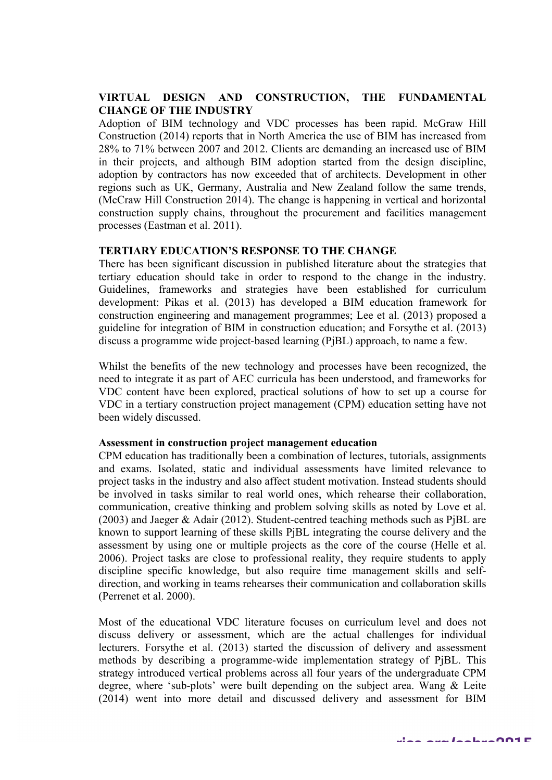# **VIRTUAL DESIGN AND CONSTRUCTION, THE FUNDAMENTAL CHANGE OF THE INDUSTRY**

Adoption of BIM technology and VDC processes has been rapid. McGraw Hill Construction (2014) reports that in North America the use of BIM has increased from 28% to 71% between 2007 and 2012. Clients are demanding an increased use of BIM in their projects, and although BIM adoption started from the design discipline, adoption by contractors has now exceeded that of architects. Development in other regions such as UK, Germany, Australia and New Zealand follow the same trends, (McCraw Hill Construction 2014). The change is happening in vertical and horizontal construction supply chains, throughout the procurement and facilities management processes (Eastman et al. 2011).

## **TERTIARY EDUCATION'S RESPONSE TO THE CHANGE**

There has been significant discussion in published literature about the strategies that tertiary education should take in order to respond to the change in the industry. Guidelines, frameworks and strategies have been established for curriculum development: Pikas et al. (2013) has developed a BIM education framework for construction engineering and management programmes; Lee et al. (2013) proposed a guideline for integration of BIM in construction education; and Forsythe et al. (2013) discuss a programme wide project-based learning (PjBL) approach, to name a few.

Whilst the benefits of the new technology and processes have been recognized, the need to integrate it as part of AEC curricula has been understood, and frameworks for VDC content have been explored, practical solutions of how to set up a course for VDC in a tertiary construction project management (CPM) education setting have not been widely discussed.

#### **Assessment in construction project management education**

CPM education has traditionally been a combination of lectures, tutorials, assignments and exams. Isolated, static and individual assessments have limited relevance to project tasks in the industry and also affect student motivation. Instead students should be involved in tasks similar to real world ones, which rehearse their collaboration, communication, creative thinking and problem solving skills as noted by Love et al. (2003) and Jaeger & Adair (2012). Student-centred teaching methods such as PjBL are known to support learning of these skills PjBL integrating the course delivery and the assessment by using one or multiple projects as the core of the course (Helle et al. 2006). Project tasks are close to professional reality, they require students to apply discipline specific knowledge, but also require time management skills and selfdirection, and working in teams rehearses their communication and collaboration skills (Perrenet et al. 2000).

Most of the educational VDC literature focuses on curriculum level and does not discuss delivery or assessment, which are the actual challenges for individual lecturers. Forsythe et al. (2013) started the discussion of delivery and assessment methods by describing a programme-wide implementation strategy of PjBL. This strategy introduced vertical problems across all four years of the undergraduate CPM degree, where 'sub-plots' were built depending on the subject area. Wang & Leite (2014) went into more detail and discussed delivery and assessment for BIM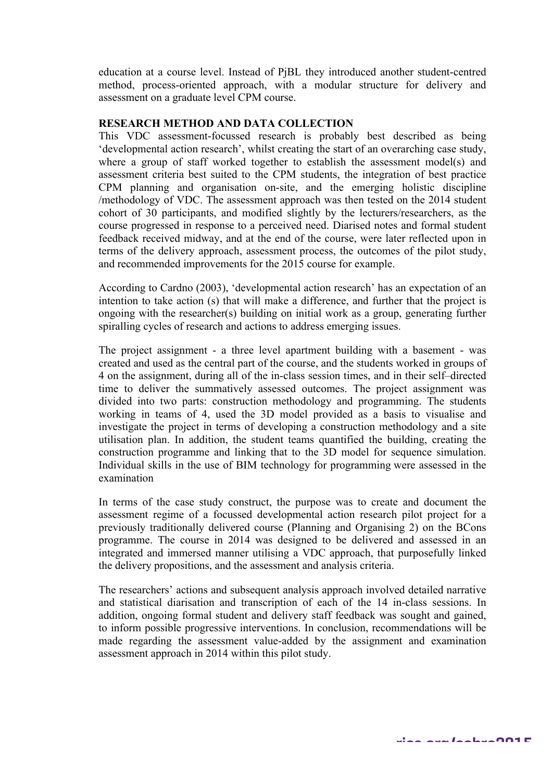education at a course level. Instead of PjBL they introduced another student-centred method, process-oriented approach, with a modular structure for delivery and assessment on a graduate level CPM course.

## **RESEARCH METHOD AND DATA COLLECTION**

This VDC assessment-focussed research is probably best described as being 'developmental action research', whilst creating the start of an overarching case study, where a group of staff worked together to establish the assessment model(s) and assessment criteria best suited to the CPM students, the integration of best practice CPM planning and organisation on-site, and the emerging holistic discipline /methodology of VDC. The assessment approach was then tested on the 2014 student cohort of 30 participants, and modified slightly by the lecturers/researchers, as the course progressed in response to a perceived need. Diarised notes and formal student feedback received midway, and at the end of the course, were later reflected upon in terms of the delivery approach, assessment process, the outcomes of the pilot study, and recommended improvements for the 2015 course for example.

According to Cardno (2003), 'developmental action research' has an expectation of an intention to take action (s) that will make a difference, and further that the project is ongoing with the researcher(s) building on initial work as a group, generating further spiralling cycles of research and actions to address emerging issues.

The project assignment - a three level apartment building with a basement - was created and used as the central part of the course, and the students worked in groups of 4 on the assignment, during all of the in-class session times, and in their self–directed time to deliver the summatively assessed outcomes. The project assignment was divided into two parts: construction methodology and programming. The students working in teams of 4, used the 3D model provided as a basis to visualise and investigate the project in terms of developing a construction methodology and a site utilisation plan. In addition, the student teams quantified the building, creating the construction programme and linking that to the 3D model for sequence simulation. Individual skills in the use of BIM technology for programming were assessed in the examination

In terms of the case study construct, the purpose was to create and document the assessment regime of a focussed developmental action research pilot project for a previously traditionally delivered course (Planning and Organising 2) on the BCons programme. The course in 2014 was designed to be delivered and assessed in an integrated and immersed manner utilising a VDC approach, that purposefully linked the delivery propositions, and the assessment and analysis criteria.

The researchers' actions and subsequent analysis approach involved detailed narrative and statistical diarisation and transcription of each of the 14 in-class sessions. In addition, ongoing formal student and delivery staff feedback was sought and gained, to inform possible progressive interventions. In conclusion, recommendations will be made regarding the assessment value-added by the assignment and examination assessment approach in 2014 within this pilot study.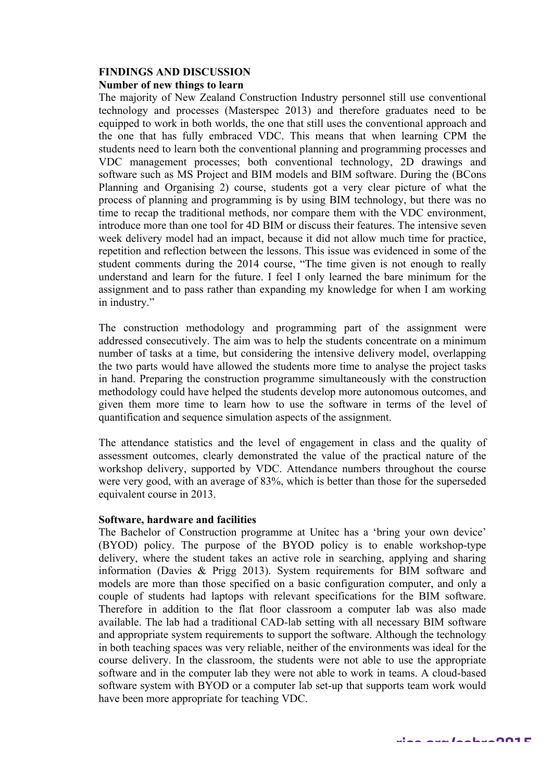# **FINDINGS AND DISCUSSION**

# **Number of new things to learn**

The majority of New Zealand Construction Industry personnel still use conventional technology and processes (Masterspec 2013) and therefore graduates need to be equipped to work in both worlds, the one that still uses the conventional approach and the one that has fully embraced VDC. This means that when learning CPM the students need to learn both the conventional planning and programming processes and VDC management processes; both conventional technology, 2D drawings and software such as MS Project and BIM models and BIM software. During the (BCons Planning and Organising 2) course, students got a very clear picture of what the process of planning and programming is by using BIM technology, but there was no time to recap the traditional methods, nor compare them with the VDC environment, introduce more than one tool for 4D BIM or discuss their features. The intensive seven week delivery model had an impact, because it did not allow much time for practice, repetition and reflection between the lessons. This issue was evidenced in some of the student comments during the 2014 course, "The time given is not enough to really understand and learn for the future. I feel I only learned the bare minimum for the assignment and to pass rather than expanding my knowledge for when I am working in industry."

The construction methodology and programming part of the assignment were addressed consecutively. The aim was to help the students concentrate on a minimum number of tasks at a time, but considering the intensive delivery model, overlapping the two parts would have allowed the students more time to analyse the project tasks in hand. Preparing the construction programme simultaneously with the construction methodology could have helped the students develop more autonomous outcomes, and given them more time to learn how to use the software in terms of the level of quantification and sequence simulation aspects of the assignment.

The attendance statistics and the level of engagement in class and the quality of assessment outcomes, clearly demonstrated the value of the practical nature of the workshop delivery, supported by VDC. Attendance numbers throughout the course were very good, with an average of 83%, which is better than those for the superseded equivalent course in 2013.

# **Software, hardware and facilities**

The Bachelor of Construction programme at Unitec has a 'bring your own device' (BYOD) policy. The purpose of the BYOD policy is to enable workshop-type delivery, where the student takes an active role in searching, applying and sharing information (Davies & Prigg 2013). System requirements for BIM software and models are more than those specified on a basic configuration computer, and only a couple of students had laptops with relevant specifications for the BIM software. Therefore in addition to the flat floor classroom a computer lab was also made available. The lab had a traditional CAD-lab setting with all necessary BIM software and appropriate system requirements to support the software. Although the technology in both teaching spaces was very reliable, neither of the environments was ideal for the course delivery. In the classroom, the students were not able to use the appropriate software and in the computer lab they were not able to work in teams. A cloud-based software system with BYOD or a computer lab set-up that supports team work would have been more appropriate for teaching VDC.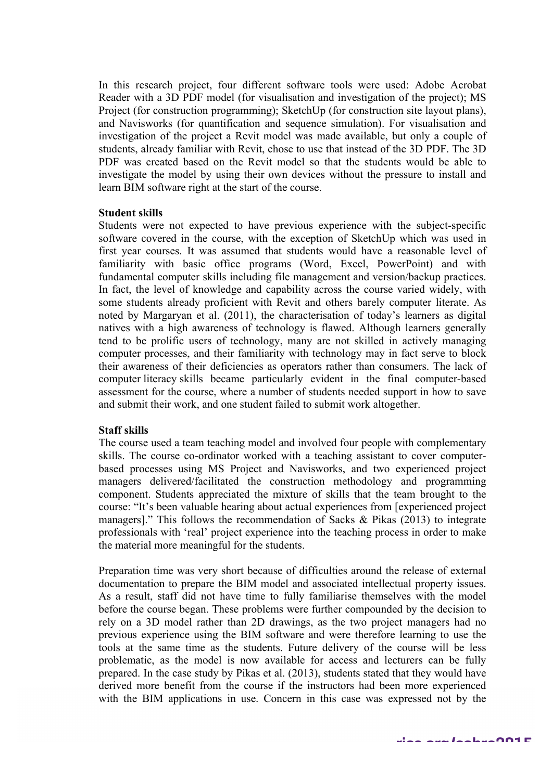In this research project, four different software tools were used: Adobe Acrobat Reader with a 3D PDF model (for visualisation and investigation of the project); MS Project (for construction programming); SketchUp (for construction site layout plans), and Navisworks (for quantification and sequence simulation). For visualisation and investigation of the project a Revit model was made available, but only a couple of students, already familiar with Revit, chose to use that instead of the 3D PDF. The 3D PDF was created based on the Revit model so that the students would be able to investigate the model by using their own devices without the pressure to install and learn BIM software right at the start of the course.

#### **Student skills**

Students were not expected to have previous experience with the subject-specific software covered in the course, with the exception of SketchUp which was used in first year courses. It was assumed that students would have a reasonable level of familiarity with basic office programs (Word, Excel, PowerPoint) and with fundamental computer skills including file management and version/backup practices. In fact, the level of knowledge and capability across the course varied widely, with some students already proficient with Revit and others barely computer literate. As noted by Margaryan et al. (2011), the characterisation of today's learners as digital natives with a high awareness of technology is flawed. Although learners generally tend to be prolific users of technology, many are not skilled in actively managing computer processes, and their familiarity with technology may in fact serve to block their awareness of their deficiencies as operators rather than consumers. The lack of computer literacy skills became particularly evident in the final computer-based assessment for the course, where a number of students needed support in how to save and submit their work, and one student failed to submit work altogether.

## **Staff skills**

The course used a team teaching model and involved four people with complementary skills. The course co-ordinator worked with a teaching assistant to cover computerbased processes using MS Project and Navisworks, and two experienced project managers delivered/facilitated the construction methodology and programming component. Students appreciated the mixture of skills that the team brought to the course: "It's been valuable hearing about actual experiences from [experienced project managers]." This follows the recommendation of Sacks & Pikas (2013) to integrate professionals with 'real' project experience into the teaching process in order to make the material more meaningful for the students.

Preparation time was very short because of difficulties around the release of external documentation to prepare the BIM model and associated intellectual property issues. As a result, staff did not have time to fully familiarise themselves with the model before the course began. These problems were further compounded by the decision to rely on a 3D model rather than 2D drawings, as the two project managers had no previous experience using the BIM software and were therefore learning to use the tools at the same time as the students. Future delivery of the course will be less problematic, as the model is now available for access and lecturers can be fully prepared. In the case study by Pikas et al. (2013), students stated that they would have derived more benefit from the course if the instructors had been more experienced with the BIM applications in use. Concern in this case was expressed not by the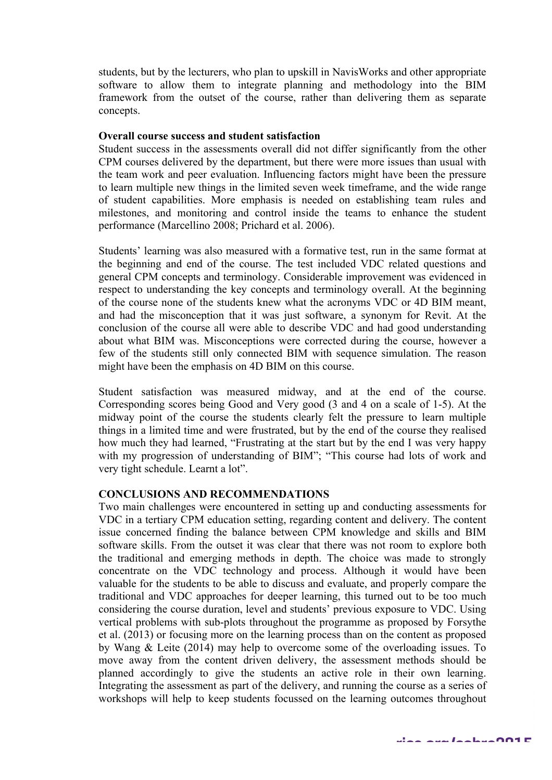students, but by the lecturers, who plan to upskill in NavisWorks and other appropriate software to allow them to integrate planning and methodology into the BIM framework from the outset of the course, rather than delivering them as separate concepts.

#### **Overall course success and student satisfaction**

Student success in the assessments overall did not differ significantly from the other CPM courses delivered by the department, but there were more issues than usual with the team work and peer evaluation. Influencing factors might have been the pressure to learn multiple new things in the limited seven week timeframe, and the wide range of student capabilities. More emphasis is needed on establishing team rules and milestones, and monitoring and control inside the teams to enhance the student performance (Marcellino 2008; Prichard et al. 2006).

Students' learning was also measured with a formative test, run in the same format at the beginning and end of the course. The test included VDC related questions and general CPM concepts and terminology. Considerable improvement was evidenced in respect to understanding the key concepts and terminology overall. At the beginning of the course none of the students knew what the acronyms VDC or 4D BIM meant, and had the misconception that it was just software, a synonym for Revit. At the conclusion of the course all were able to describe VDC and had good understanding about what BIM was. Misconceptions were corrected during the course, however a few of the students still only connected BIM with sequence simulation. The reason might have been the emphasis on 4D BIM on this course.

Student satisfaction was measured midway, and at the end of the course. Corresponding scores being Good and Very good (3 and 4 on a scale of 1-5). At the midway point of the course the students clearly felt the pressure to learn multiple things in a limited time and were frustrated, but by the end of the course they realised how much they had learned, "Frustrating at the start but by the end I was very happy with my progression of understanding of BIM"; "This course had lots of work and very tight schedule. Learnt a lot".

## **CONCLUSIONS AND RECOMMENDATIONS**

Two main challenges were encountered in setting up and conducting assessments for VDC in a tertiary CPM education setting, regarding content and delivery. The content issue concerned finding the balance between CPM knowledge and skills and BIM software skills. From the outset it was clear that there was not room to explore both the traditional and emerging methods in depth. The choice was made to strongly concentrate on the VDC technology and process. Although it would have been valuable for the students to be able to discuss and evaluate, and properly compare the traditional and VDC approaches for deeper learning, this turned out to be too much considering the course duration, level and students' previous exposure to VDC. Using vertical problems with sub-plots throughout the programme as proposed by Forsythe et al. (2013) or focusing more on the learning process than on the content as proposed by Wang & Leite (2014) may help to overcome some of the overloading issues. To move away from the content driven delivery, the assessment methods should be planned accordingly to give the students an active role in their own learning. Integrating the assessment as part of the delivery, and running the course as a series of workshops will help to keep students focussed on the learning outcomes throughout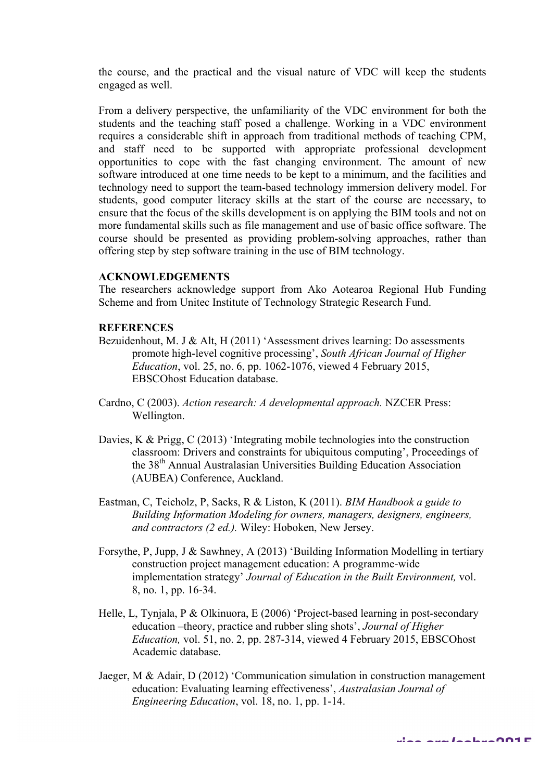the course, and the practical and the visual nature of VDC will keep the students engaged as well.

From a delivery perspective, the unfamiliarity of the VDC environment for both the students and the teaching staff posed a challenge. Working in a VDC environment requires a considerable shift in approach from traditional methods of teaching CPM, and staff need to be supported with appropriate professional development opportunities to cope with the fast changing environment. The amount of new software introduced at one time needs to be kept to a minimum, and the facilities and technology need to support the team-based technology immersion delivery model. For students, good computer literacy skills at the start of the course are necessary, to ensure that the focus of the skills development is on applying the BIM tools and not on more fundamental skills such as file management and use of basic office software. The course should be presented as providing problem-solving approaches, rather than offering step by step software training in the use of BIM technology.

# **ACKNOWLEDGEMENTS**

The researchers acknowledge support from Ako Aotearoa Regional Hub Funding Scheme and from Unitec Institute of Technology Strategic Research Fund.

#### **REFERENCES**

- Bezuidenhout, M. J & Alt, H (2011) 'Assessment drives learning: Do assessments promote high-level cognitive processing', *South African Journal of Higher Education*, vol. 25, no. 6, pp. 1062-1076, viewed 4 February 2015, EBSCOhost Education database.
- Cardno, C (2003). *Action research: A developmental approach.* NZCER Press: Wellington.
- Davies, K & Prigg, C (2013) 'Integrating mobile technologies into the construction classroom: Drivers and constraints for ubiquitous computing', Proceedings of the 38th Annual Australasian Universities Building Education Association (AUBEA) Conference, Auckland.
- Eastman, C, Teicholz, P, Sacks, R & Liston, K (2011). *BIM Handbook a guide to Building Information Modeling for owners, managers, designers, engineers, and contractors (2 ed.).* Wiley: Hoboken, New Jersey.
- Forsythe, P, Jupp, J & Sawhney, A (2013) 'Building Information Modelling in tertiary construction project management education: A programme-wide implementation strategy' *Journal of Education in the Built Environment,* vol. 8, no. 1, pp. 16-34.
- Helle, L, Tynjala, P & Olkinuora, E (2006) 'Project-based learning in post-secondary education –theory, practice and rubber sling shots', *Journal of Higher Education,* vol. 51, no. 2, pp. 287-314, viewed 4 February 2015, EBSCOhost Academic database.
- Jaeger, M & Adair, D (2012) 'Communication simulation in construction management education: Evaluating learning effectiveness', *Australasian Journal of Engineering Education*, vol. 18, no. 1, pp. 1-14.